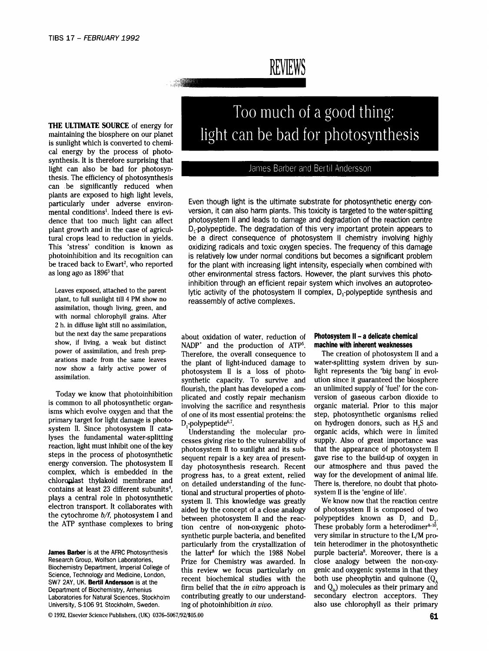# **REVIEWS**

**THE** ULTIMATE SOURCE of energy for maintaining the biosphere on our planet is sunlight which is converted to chemical energy by the process of photosynthesis. It is therefore surprising that light can also be bad for photosyn- | [1] James Barber and Bertil Andersson thesis. The efficiency of photosynthesis can be significantly reduced when plants are exposed to high light levels,<br>particularly under adverse environ-

plant, to full sunlight till 4 PM show no reassembly of active complexes. assimilation, though living, green, and with normal chlorophyll grains. After 2 h. in diffuse light still no assimilation, but the next day the same preparations about oxidation of water, reduction of **Photosystem II - a delicate chemical show**, if living, a weak but distinct  $NADP^+$  and the production of  $\Lambda TB^5$  machine with inherent weakne

primary target for light damage is photo-  $D_f$ -polypeptide<sup>6,7</sup>. The one of properties on hydrogen donors, such as H<sub>2</sub>S and system II. Since photosystem II cata-<br>Indexstanding the molecular properties organic acids, whic system ii. Since photosystem ii cata-<br>lyses the fundamental water-splitting cossos giving rise to the vulnerability of supply. Also of great importance was lyses the fundamental water-splitting cesses giving rise to the vulnerability of supply. Also of great importance was<br>reaction, light must inhibit one of the key photoeystem II to suplight and its substitute in that the ap reaction, light must inhibit one of the key photosystem II to sunlight and its sub-<br>steps in the process of photosynthetic sequent repair is a key area of present. gave rise to the build-up of oxygen in steps in the process of photosynthetic sequent repair is a key area of present- gave rise to the build-up of oxygen in<br>energy conversion. The photosystem II day photosynthesis research. Becent, our atmosphere and thus paye energy conversion. The photosystem II day photosynthesis research. Recent our atmosphere and thus paved the complex, which is embedded in the progress has to a great extent relied way for the development of animal life complex, which is embedded in the progress has, to a great extent, relied way for the development of animal life.<br>Chloroplast thylakoid membrane and on detailed understanding of the funce. There is therefore no doubt that chloroplast thylakoid membrane and on detailed understanding of the func-<br>contains at least 23 different subunits<sup>4</sup>, tional and structural proporties of photo-system II is the 'engine of life' contains at least 23 different subunits, tional and structural properties of photo- system II is the 'engine of life'.<br>Plays a central role in photosynthetic system II. This knowledge was greatly a We know now that the rea plays a central role in photosynthetic system II. This knowledge was greatly We know now that the reaction centre electron transport. It collaborates with sided by the concept of a close analogy of photosystem II is compos electron transport. It collaborates with aided by the concept of a close analogy of photosystem II is composed of two<br>the cytochrome  $b/f$ , photosystem I and botween photosystem II and the rease polynentides known as D, an the cytochrome  $b/f$ , photosystem I and between photosystem II and the reac- polypeptides known as  $D_1$  and  $D_2$ .<br>These probably form a heterodimers<sup>10</sup>

**Too much of a good thing: light can be bad for photosynthesis** 

Even though light is the ultimate substrate for photosynthetic energy conmental conditions<sup>1</sup>. Indeed there is evi-<br>version, it can also harm plants. This toxicity is targeted to the water-splitting dence that too much light can affect photosystem II and leads to damage and degradation of the reaction centre plant growth and in the case of agricul-  $D_1$ -polypeptide. The degradation of this very important protein appears to tural crops lead to reduction in yields, be a direct consequence of photosystem II chemistry involving highly This 'stress' condition is known as oxidizing radicals and toxic oxygen species. The frequency of this damage photoinhibition and its recognition can is relatively low under normal conditions but becomes a significant problem<br>be traced back to Ewart<sup>2</sup>, who reported for the plant with increasing light intensity, especially when co be traced back to Ewart<sup>2</sup>, who reported for the plant with increasing light intensity, especially when combined with as long ago as 1896<sup>3</sup> that discuss of the renvironmental stress factors. However, the plant survives th other environmental stress factors. However, the plant survives this photoinhibition through an efficient repair system which involves an autoproteo-Leaves exposed, attached to the parent lytic activity of the photosystem II complex,  $D_1$ -polypeptide synthesis and

show, if living, a weak but distinct NADP<sup>+</sup> and the production of ATP<sup>5</sup>. **machine with inherent weaknesses** power of assimilation, and fresh prep-<br>
The creation of photocystem power of assimilation, and fresh prep-<br>arations made from the same leaves the plant of light induced damage to water-splitting system driven by suparations made from the same leaves the plant of light-induced damage to water-splitting system driven by sun-<br>now show a fairly active power of photocyptom II is a loss of photocyclical interpresents the 'big bang' in evol now show a fairly active power of photosystem II is a loss of photo- light represents the 'big bang' in evol-<br>assimilation. synthetic capacity. To survive and ution since it guaranteed the biosphere flourish, the plant has developed acom- an unlimited supply of 'fuel' for the con-Today we know that photoinhibition plicated and costly repair mechanism version of gaseous carbon dioxide to is common to all photosynthetic organ-<br>involving the secrifice and resynthesis organic material. Prior to this ma is common to all photosynthetic organ-<br>is common to all photosynthetic organ-<br>of one of its most essential proteins; the step, photosynthetic organisms, relied isms which evolve oxygen and that the of one of its most essential proteins: the step, photosynthetic organisms relied<br>primary target for light damage is photo-<br> $\overline{D}$  polynoptide<sup>67</sup>

tion centre of non-oxygenic photo- These probably form a heterodimer<sup>8-16</sup>, synthetic purple bacteria, and benefited very similar in structure to the L/M proparticularly from the crystallization of tein heterodimer in the photosynthetic **James Barber** is at the AFRC Photosynthesis the latter<sup>8</sup> for which the 1988 Nobel purple bacteria<sup>8</sup>. Moreover, there is a Research Group, Wolfson Laboratories, Prize for Chemistry was awarded In close analogy between th Research Group, Wolfson Laboratories, Prize for Chemistry was awarded. In close analogy between the non-oxy-<br>Biochemistry Department, Imperial College of this review we focus particularly on depic and expressive systems in Biochemistry Department, Imperial College of this review we focus particularly on genic and oxygenic systems in that they<br>Science, Technology and Medicine, London, seegent, his shorthanisel, studies with the hoth use phoep Science, Technology and Medicine, London,<br>SW7 2AY, UK. **Bertil Andersson** is at the recent biochemical studies with the both use pheophytin and quinone  $(Q_A \nbrace$ <br>Department of Biochemistry Arrhenius firm belief that the *in* Department of Biochemistry, Arrhenius firm belief that the *in vitro* approach is and Q<sub>B</sub>) molecules as their primary and Laboratories for Natural Sciences. Stockholm contributing greatly to our understand- secondary elec Laboratories for Natural Sciences, Stockholm contributing greatly to our understand-University, S-106 91 Stockholm, Sweden. ing of photoinhibition *in vivo.* also use chlorophyll as their primary

 $\circ$  1992, Elsevier Science Publishers, (UK) 0376–5067/92/\$05.00 61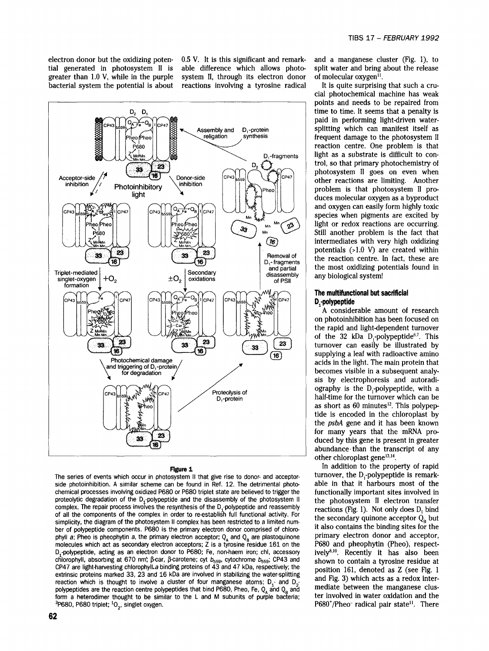greater than 1.0 V, while in the purple system II, through its electron donor of molecular oxygen<sup>11</sup>.<br>bacterial system the potential is about reactions involving a tyrosine radical It is quite surprising that such a crubacterial system the potential is about

electron donor but the oxidizing poten- 0.5 V. It is this significant and remark- and a manganese cluster (Fig. 1), to tial generated in photosystem II is able difference which allows photo- split water and bring about the able difference which allows photo- split water and bring about the release system II, through its electron donor of molecular oxygen<sup>11</sup>.



The series of events which occur in photosystem II that give rise to donor- and acceptor-<br>side photoinhibition. A similar scheme can be found in Ref. 12. The detrimental photo-<br>able in that it harbours most of the side photoinhibition. A similar scheme can be found in Ref. 12. The detrimental photochemical processes involving oxidized P680 or P680 triplet state are believed to trigger the functionally important sites involved in proteolytic degradation of the  $D_1$ -polypeptide and the disassembly of the photosystem II the photosystem II electron transfer complex. The repair process involves the resynthesis of the D<sub>1</sub>-polypeptide and reassembly reactions (Fig. 1). Not only does  $D_1$  bind of all the components of the complex in order to re-establish full functional activity. For the secondary quinone acceptor  $Q_B$  but simplicity, the secondary quinone acceptor  $Q_B$  but simplicity, the diagram of the photosystem II complex has been restricted to a limited number of polypoptide components. P680 is the primary electron donor comprised of chloro-<br>ber of polypoptide components. P680 is the primary electron donor comprised of chloro- it also contains the binding sites for the<br>phyll phyll a; Pheo is pheophytin a, the primary electron acceptor;  $Q_A$  and  $Q_B$  are plastoquinone primary electron donor and acceptor, molecules which act as secondary electron acceptors; Z is a tyrosine residue 161 on the  $P$ molecules which act as secondary electron acceptors; Z is a tyrosine residue 161 on the P680 and pheophytin (Pheo), respect-<br>D<sub>1</sub>-polypeptide, acting as an electron donor to P680; Fe, non-haem iron; chl, accessory ively<sup>8,</sup> D<sub>4</sub>-polypeptide, acting as an electron donor to P680; Fe, non-haem iron; chl, accessory chlorophyll, absorbing at 670 nm;  $\beta$ -car,  $\beta$ -carotene; cyt  $b_{559}$ , cytochrome  $b_{559}$ ; CP43 and shown to contain a tyrosine residue at CP47 are light-harvesting chlorophylLa binding proteins of 43 and 47 kDa, respectively; the position 161, denoted as Z (see Fig. 1 extrinsic proteins marked 33, 23 and 16 kDa are involved in stabilizing the water-splitting and Fig. 3) which acts as a redox inter-<br>reaction which is thought to involve a cluster of four manganese atoms: D and D and Fig. reaction which is thought to involve a cluster of four manganese atoms;  $D_{z}$ - and  $D_{z}$ polypeptides are the reaction centre polypeptides that bind P680, Pheo, Fe, Q<sub>A</sub> and Q<sub>B</sub> and<br>polypeptides that bind P680, Pheo, Fe, Q<sub>A</sub> and Q<sub>B</sub> and<br>form a heterodimer thought to be similar to the L and M subunits of ou form a heterodimer thought to be similar to the L and M subunits of purple bacteria;<br><sup>3</sup>P680, P680 triplet; <sup>1</sup>O<sub>2</sub>, singlet oxygen.

cial photochemical machine has weak points and needs to be repaired from paid in performing light-driven water-Assembly and  $D_i$ -protein  $\begin{array}{c|c} \text{splitting} & \text{which} & \text{can} & \text{manifest itself as} \\ \text{replication} & \text{synthesis} & \text{frequent damage to the photosystem II} \end{array}$ reaction centre. One problem is that  $D_2 \leftrightarrow$  trol, so that primary photochemistry of  $_{CP43}$  photosystem II goes on even when duces molecular oxygen as a byproduct species when pigments are excited by<br>light or redox reactions are occurring.  $\frac{1}{33}$  M<sub>Mp</sub> M<sub>n</sub> ( $\frac{1}{23}$ ) light or redox reactions are occurring.  $M_0$  Still another problem is the fact that intermediates with very high oxidizing  $T$  potentials (>1.0 V) are created within

on photoinhibition has been focused on the rapid and light-dependent turnover of the 32 kDa D,-polypeptide $6,7$ . This turnover can easily be illustrated by supplying a leaf with radioactive amino sis by electrophoresis and autoradi-  $\mathsf{D}_i$ -protein half-time for the turnover which can be as short as  $60$  minutes<sup>12</sup>. This polypep-• tide is encoded in the chloroplast by the *psbA* gene and it has been known duced by this gene is present in greater abundance, than the transcript of any

**Figure 1** other chloroplast gene<sup>13,14</sup>.<br>
In addition to the property of rapid<br>
property of rapid<br>
property of rapid<br>
next turnover, the D<sub>r</sub>-polypeptide is remark-P680\*/Pheo- radical pair state<sup>11</sup>. There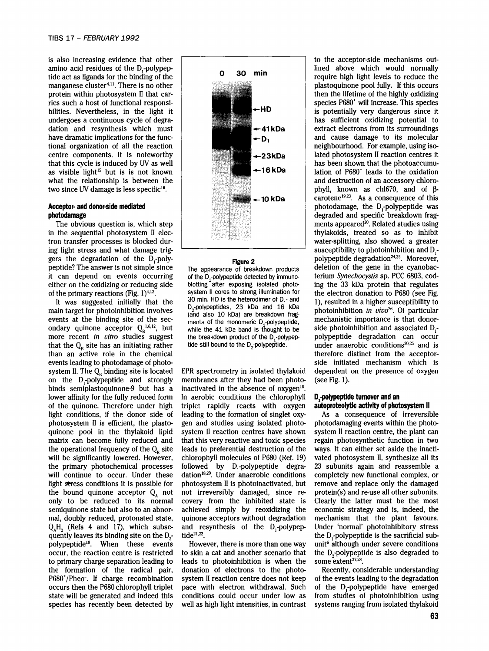is also increasing evidence that other **the acceptor-side mechanisms out-** to the acceptor-side mechanisms outmanganese cluster<sup>4,11</sup>. There is no other undergoes a continuous cycle of degra-<br>
dation and resynthesis which must<br>  $\leftarrow 41kDa$  extract electrons from its surroundings have dramatic implications for the funcas visible light ~5 but is is not known ,.,,,~;, ----16 kDa lation of P680 + leads to the oxidation two since UV damage is less specific<sup>16</sup>.

in the sequential photosystem II electron transfer processes is blocked dur- " water-splitting, also showed a greater ing light stress and what damage trig- $\overline{\phantom{a}}$  susceptibility to photoinhibition and D<sub>1</sub>gers the degradation of the D<sub>1</sub>-poly-<br>peptide? The annearance of breakdown products deletion of the gene in the cyanobac-<br>peptide? The annearance of breakdown products deletion of the gene in the cyanobacpeptide? The answer is not simple since The appearance of breakdown products deletion of the gene in the cyanobac-<br>it can depend on events occurring of the D-polypeptide detected by immuno-<br>terium *Synechocystis* sp. PCC 6 either on the oxidizing or reducing side blotting after exposing isolated photo- ing the 33 kDa protein that regulates of the primary reactions (Fig. 1)<sup>4,12</sup>, system II cores to strong illumination for the electron donat

main target for photoinhibition involves  $L_2$ -polypepudes, 23 kDa and 16 kDa photoinhibition *in vivo*<sup>26</sup>. Of particular events at the binding site of the sec-<br>events of the monomeric D polypeptide ever mechanistic impo ondary quinone acceptor  $Q_B^{1.6,12}$ , but while the 41 kDa band is thought to be side photoinhibition and associated D<sub>1</sub> more recent *in vitro* studies suggest the breakdown product of the D<sub>1</sub>-polypep- polypeptide degradation can occur that the  $Q_R$  site has an initiating rather tide still bound to the D<sub>2</sub>-polypeptide. under anaerobic conditions<sup>20,25</sup> and is than an active role in the chemical therefore distinct from the acceptorevents leading to photodamage of photo- side initiated mechanism which is system II. The  $Q_B$  binding site is located EPR spectrometry in isolated thylakoid dependent on the presence of oxygen binds semiplastoquinone-9 but has a inactivated in the absence of  $oxygen^{18}$ .  $Q_AH_2$  (Refs 4 and 17), which subse- and resynthesis of the D<sub>1</sub>-polypep- Under 'normal' photoinhibitory stress quently leaves its binding site on the D<sub>2</sub>- tide<sup>21,22</sup>.<br>
tide<sup>21,22</sup>. quently leaves its binding site on the  $D_2$ - tide<sup>21,22</sup>. the D<sub>1</sub>-polypeptide is the sacrificial subpolypeptide<sup>18</sup>. When these events However, there is more than one way unit<sup>6</sup> although under severe conditions to primary charge separation leading to leads to photoinhibition is when the



of the D<sub>1</sub>-polypeptide detected by immunoments of the monomeric  $D_1$ -polypeptide,

on the D,-polypeptide and strongly membranes after they had been photo- (see Fig. 1). lower affinity for the fully reduced form In aerobic conditions the chlorophyll **D**<sub>-polypeptide turnover and an</sub> of the quinone. Therefore under high triplet rapidly reacts with oxygen autoproteolytic activity of photosystem II light conditions, if the donor side of leading to the formation of singlet oxy- As a consequence of irreversible photosystem II is efficient, the plasto- gen and studies using isolated photo- photodamaging events within the photoquinone pool in the thylakoid lipid system II reaction centres have shown system II reaction centre, the plant can matrix can become fully reduced and that this very reactive and toxic species regain photosynthetic function in two the operational frequency of the  $Q<sub>B</sub>$  site leads to preferential destruction of the ways. It can either set aside the inactiwill be significantly lowered. However, chlorophyll molecules of P680 (Ref. 19) vated photosystem II, synthesize all its the primary photochemical processes followed by D,-polypeptide degra- 23 subunits again and reassemble a will continue to occur. Under these dation<sup>18,20</sup>. Under anaerobic conditions completely new functional complex, or light stress conditions it is possible for photosystem II is photoinactivated, but remove and replace only the damaged the bound quinone acceptor  $Q_A$  not not irreversibly damaged, since re- protein(s) and re-use all other subunits. only to be reduced to its normal covery from the inhibited state is Clearly the latter must be the most semiquinone state but also to an abnor- achieved simply by reoxidizing the economic strategy and is, indeed, the mal, doubly reduced, protonated state, quinone acceptors without degradation mechanism that the plant favours.

occur, the reaction centre is restricted to skin a cat and another scenario that the  $D_2$ -polypeptide is also degraded to to primary charge separation leading to leads to photoinhibition is when the some extent<sup>27,28</sup>. the formation of the radical pair, donation of electrons to the photo- Recently, considerable understanding P680+/Pheo-. If charge recombination system II reaction centre does not keep of the events leading to the degradation occurs then the P680 chlorophyll triplet pace with electron withdrawal. Such of the D<sub>r</sub>-polypeptide have emerged state will be generated and indeed this conditions could occur under low as from studies of photoinhibition using species has recently been detected by well as high light intensities, in contrast systems ranging from isolated thylakoid

amino acid residues of the D<sub>1</sub>-polypep-  $\frac{1}{20}$  **O** 30 min lined above which would normally tide act as ligands for the binding of the  $\frac{1}{2}$  **O** 30 min require high light levels to reduce the tide act as ligands for the binding of the reduce the require high light levels to reduce the require high light levels to reduce the require high light levels to reduce the require high light levels to reduce the reduce t protein within photosystem II that car- the state of the lifetime of the highly oxidizing ries such a host of functional responsi-<br>
bilities Nevertheless in the light it bilities. Nevertheless, in the light it  $\begin{array}{c|c} \hline \end{array}$   $\begin{array}{c} \hline \end{array}$   $\begin{array}{c} \hline \end{array}$  is potentially very dangerous since it undergoes a continuous cycle of degradation and resynthesis which must<br>have dramatic implications for the function of the function of the function of  $\triangle$ - n. and cause damage to its molecular tional organization of all the reaction isocentre components. It is noteworthy  $hat{t}$  +23kDa lated photosystem II reaction centres it<br>that this cycle is induced by UV as well has been shown that the photoaccumuthat the photoaccumu-<br>**+16 kDa** lation of P680<sup>+</sup> leads to the oxidation what the relationship is between the  $\frac{1}{2}$  and destruction of an accessory chloro-<br>two since UV damage is less specific<sup>16</sup>. **←10 kDa**  $\begin{vmatrix} \text{cancel} & 1.1 \\ \text{cancel} & \text{cancel} \\ \text{cancel} & \text{cancel} \end{vmatrix}$  carotene<sup>19,23</sup>. As a consequence of this **Acceptor- and donor-side mediated and photodamage, the D<sub>1</sub>-polypeptide was<br>
photodamage degraded and specific breakdown fragphotodamage are obvious** question is, which step in the sequential photosystem II election is appeared 2<sup>0</sup>. Related studies using the sequential photosystem II election is appeared 2<sup>0</sup>. Related studies using the seque of the primary reactions (Fig. 1)<sup>4,12</sup>. system II cores to strong illumination for the electron donation to P680 (see Fig. 1)<br>It was suggested initially that the 30 min. HD is the heterodimer of D<sub>r</sub> and 1) resulted in a It was suggested initially that the  $\frac{30 \text{ min}}{D_x \text{polypeptides}}$ , 23 kDa and 16 kDa nh http://tition.in.  $\frac{1}{2}$  and  $\frac{1}{2}$ , resulted in a higher susceptibility to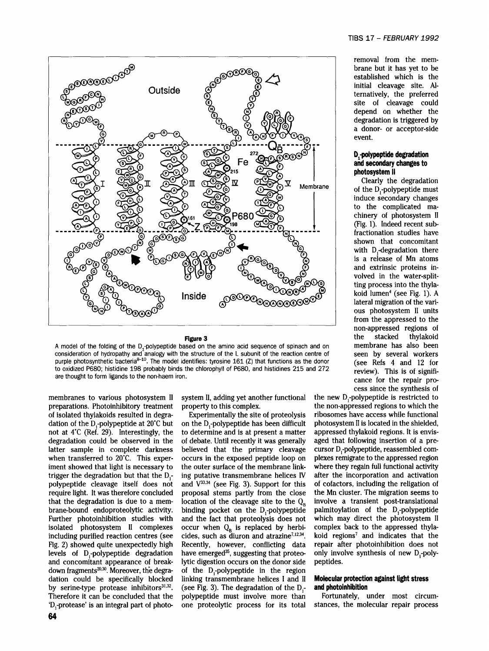



A model of the folding of the D<sub>1</sub>-polypeptide based on the amino acid sequence of spinach and on membrane has also been<br>Consideration of hydropathy and analogy with the structure of the L subunit of the reaction centre of consideration of hydropathy and analogy with the structure of the L subunit of the reaction centre of purple photosynthetic bacteria<sup>8-10</sup>. The model identifies: tyrosine 161 (Z) that functions as the donor (see Refs 4 and 12 for to oxidized P680; histidine 198 probably binds the chlorophyll of P680, and histidines 215 and 272 review). This is of signifiare thought to form ligands to the non-haem iron.<br>
cance for the repair pro-

'D<sub>r</sub>protease' is an integral part of photo- one proteolytic process for its total stances, the molecular repair process

membranes to various photosystem II system II, adding yet another functional the new D<sub>r</sub>-polypeptide is restricted to preparations. Photoinhibitory treatment property to this complex, the non-appressed regions to which the

of isolated thylakoids resulted in degra- Experimentally the site of proteolysis ribosomes have access while functional dation of the D<sub>r</sub>polypeptide at 20°C but on the D<sub>r</sub>polypeptide has been difficult photosystem II is located in the shielded, not at 4°C (Ref. 29). Interestingly, the to determine and is at present a matter appressed thylakoid regions. It is envisdegradation could be observed in the of debate. Until recently it was generally aged that following insertion of a prelatter sample in complete darkness believed that the primary cleavage cursor D,-polypeptide, reassembled comwhen transferred to 20°C. This exper- occurs in the exposed peptide loop on plexes remigrate to the appressed region iment showed that light is necessary to the outer surface of the membrane link- where they regain full functional activity trigger the degradation but that the  $D<sub>r</sub>$  ing putative transmembrane helices IV after the incorporation and activation polypeptide cleavage itself does not and  $V^{33,34}$  (see Fig. 3). Support for this of cofactors, including the religation of require light. It was therefore concluded proposal stems partly from the close the Mn cluster. The migration seems to that the degradation is due to a mem- location of the cleavage site to the  $Q_n$  involve a transient post-translational brane-bound endoproteolytic activity. binding pocket on the D<sub>r</sub>-polypeptide palmitoylation of the D<sub>r</sub>-polypeptide Further photoinhibition studies with and the fact that proteolysis does not which may direct the photosystem II isolated photosystem II complexes occur when  $Q_B$  is replaced by herbi- complex back to the appressed thylaincluding purified reaction centres (see cides, such as diuron and atrazine<sup>7,12,34</sup>. koid regions<sup>7</sup> and indicates that the Fig. 2) showed quite unexpectedly high Recently, however, conflicting data repair after photoinhibition does not levels of D<sub>rpolypeptide degradation have emerged<sup>35</sup>, suggesting that proteo- only involve synthesis of new D,-poly-</sub> and concomitant appearance of break- lytic digestion occurs on the donor side peptides.<br>down fragments<sup>20,30</sup>. Moreover, the degra- of the  $D$ -polypeptide in the region of the D,-polypeptide in the region dation could be specifically blocked linking transmembrane helices I and II **Molecular protection** against light **stress**  by serine-type protease inhibitors<sup>31,32</sup>. (see Fig. 3). The degradation of the  $D<sub>1</sub>$ - and photoinhibition Therefore it can be concluded that the polypeptide must involve more than Fortunately, under most circum-

removal from the mem-<br>brane but it has vet to be established which is the **.** initial cleavage site. AIsite of cleavage could<br>depend on whether the a donor- or acceptor-side event.

## **D<sub>.</sub>-polypeptide degradation<br>and secondary changes to** photosystem II

 $\begin{array}{c|c}\n\text{if} \\
\text{Memory the degradation} \\
\text{of the D, polypeptide must}\n\end{array}$ induce secondary changes to the complicated ma-(Fig. 1). Indeed recent sub-<br>fractionation studies have shown that concomitant with D,-degradation there is a release of Mn atoms and extrinsic proteins involved in the water-split-<br>ting process into the thylafrom the appressed to the non-appressed regions of **Figure 3** the stacked thylakoid cess since the synthesis of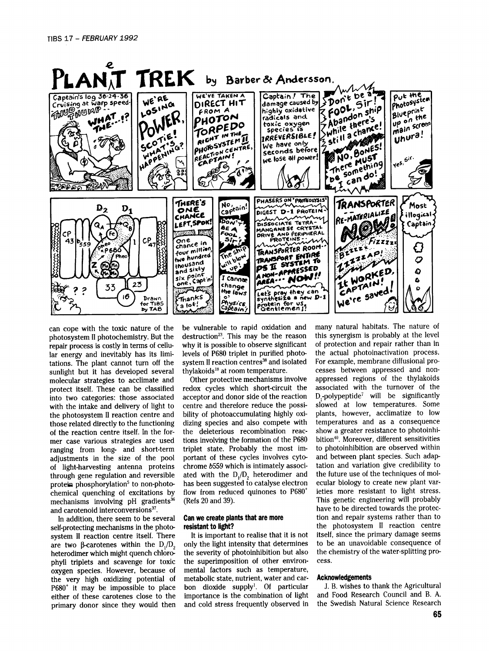

photosystem II photochemistry. But the destruction<sup>23</sup>. This may be the reason this synergism is probably at the level<br>repair process is costly in terms of cellu- why it is possible to observe significant of protection and repair process is costly in terms of cellu- why it is possible to observe significant of protection and repair rather than in<br>lar energy and inevitably has its limi- levels of P680 triplet in purified photo- the actual pho lar energy and inevitably has its limi- levels of P680 triplet in purified photo- the actual photoinactivation process.<br>tations. The plant cannot turn off the system II reaction centres<sup>38</sup> and isolated For example, membra tations. The plant cannot turn off the system II reaction centres<sup>38</sup> and isolated For example, membrane diffusional pro-<br>suplight but it has developed several thylakoids<sup>18</sup> at room temperature. Cesses between appressed a sunlight but it has developed several thylakoids<sup>18</sup> at room temperature. cesses between appressed and non-<br>molecular strategies to acclimate and Other protective mechanisms involve appressed regions of the thylakoids

heterodimer which might quench chloro-<br>the severity of photoinhibition but also the chemistry of the superimposition of other environ-cess. phyll triplets and scavenge for toxic the superimposition of other environ-<br>oxygen species. However, because of mental factors such as temperature, oxygen species. However, because of mental factors such as temperature, the very high oxidizing potential of metabolic state, nutrient, water and carthe very high oxidizing potential of metabolic state, nutrient, water and car- **Acknowledgements**   $P680^*$  it may be impossible to place bon dioxide supply<sup>1</sup>. Of particular J.B. wishes to thank the Agricultural either of these carotenes close to the importance is the combination of light and Food Research Council and either of these carotenes close to the importance is the combination of light and Food Research Council and B. A.<br>primary donor since they would then and cold stress frequently observed in the Swedish Natural Science Resea

protect itself. These can be classified redox cycles which short-circuit the associated with the turnover of the into two categories: those associated acceptor and donor side of the reaction  $D_i$ -polypeptide<sup>7</sup> will be si with the intake and delivery of light to centre and therefore reduce the possi-slowed at low temperatures. Some<br>the photosystem II reaction centre and bility of photoaccumulating highly oxi-plants, however, acclimatize to

primary donor since they would then and cold stress frequently observed in

can cope with the toxic nature of the be vulnerable to rapid oxidation and many natural habitats. The nature of photosystem II photochemistry. But the destruction<sup>23</sup>. This may be the reason this synergism is probably at t molecular strategies to acclimate and Other protective mechanisms involve appressed regions of the thylakoids into two categories: those associated acceptor and donor side of the reaction  $D_1$ -polypeptide<sup>7</sup> will be significantly with the intake and delivery of light to centre and therefore reduce the possi- slowed at low temper the photosystem II reaction centre and bility of photoaccumulating highly oxi- plants, however, acclimatize to low<br>those related directly to the functioning dizing species and also compete with temperatures and as a conseq those related directly to the functioning dizing species and also compete with temperatures and as a consequence<br>of the reaction centre itself. In the for-<br>the deleterious recombination reac-<br>show a greater resistance to p of the reaction centre itself. In the for-<br>mer case various strategies are used tions involving the formation of the P680 bition<sup>40</sup>. Moreover, different sensitivities mer case various strategies are used tions involving the formation of the P680 bition<sup>40</sup>. Moreover, different sensitivities ranging from long, and short-term triplet state. Probably the most im- to photoinhibition are obs ranging from long- and short-term triplet state. Probably the most im- to photoinhibition are observed within<br>adjustments in the size of the pool portant of these cycles involves cyto- and between plant species. Such adapadjustments in the size of the pool portant of these cycles involves cyto- and between plant species. Such adap-<br>of light-harvesting antenna proteins chrome b559 which is intimately associ- tation and variation give credib of light-harvesting antenna proteins chrome b559 which is intimately associ- tation and variation give credibility to<br>through gene regulation and reversible ated with the D./D. heterodimer and the future use of the techniq through gene regulation and reversible ated with the  $D_1/D_2$  heterodimer and the future use of the techniques of mol-<br>protein phosphorylation<sup>5</sup> to non-photo- has been suggested to catalyse electron ecular biology to cre protein phosphorylation<sup>5</sup> to non-photo- has been suggested to catalyse electron ecular biology to create new plant var-<br>chemical quenching of excitations by flow from reduced quinones to P680<sup>+</sup> ieties more resistant to l chemical quenching of excitations by flow from reduced quinones to P680<sup>+</sup> ieties more resistant to light stress.<br>mechanisms involving pH gradients<sup>36</sup> (Refs 20 and 39). This genetic engineering will probably mechanisms involving pH gradients<sup>36</sup> (Refs 20 and 39). This genetic engineering will probably<br>and carotenoid interconversions<sup>37</sup> and carotenoid interconversions<sup>37</sup>.<br>In addition, there seem to be several **Can we create plants that are more** local top and repair systems rather than to In addition, there seem to be several **Can we create plants that are more** tion and repair systems rather than to self-protecting mechanisms in the photo-<br>system II reaction centre itself. There It is important to realise that it is not itself, since the primary damage seems system II reaction centre itself. There It is important to realise that it is not itself, since the primary damage seems are two  $\beta$ -carotenes within the D.(D only the light intensity that determines to be an unavoidable are two  $\beta$ -carotenes within the  $D_1/D_2$  only the light intensity that determines to be an unavoidable consequence of heterodimer which might quench chlorogether expliciting pro-